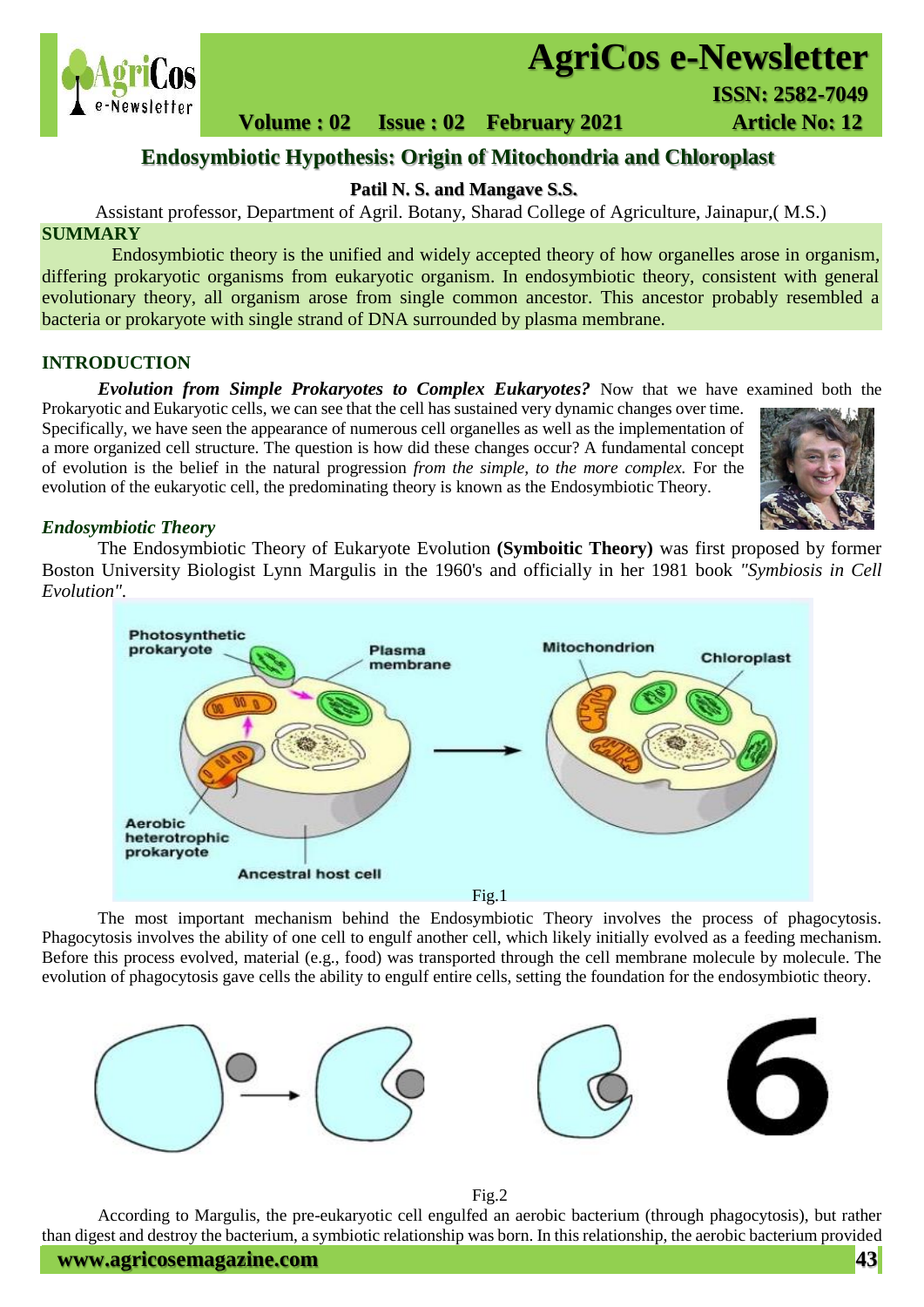

# **AgriCos e-Newsletter**

 **Volume : 02 Issue : 02 February 2021 Article No: 12** 

# **Endosymbiotic Hypothesis: Origin of Mitochondria and Chloroplast**

**Patil N. S. and Mangave S.S.**

Assistant professor, Department of Agril. Botany, Sharad College of Agriculture, Jainapur,( M.S.) **SUMMARY**

 Endosymbiotic theory is the unified and widely accepted theory of how organelles arose in organism, differing prokaryotic organisms from eukaryotic organism. In endosymbiotic theory, consistent with general evolutionary theory, all organism arose from single common ancestor. This ancestor probably resembled a bacteria or prokaryote with single strand of DNA surrounded by plasma membrane.

## **INTRODUCTION**

*Evolution from Simple Prokaryotes to Complex Eukaryotes?* Now that we have examined both the

Prokaryotic and Eukaryotic cells, we can see that the cell has sustained very dynamic changes over time. Specifically, we have seen the appearance of numerous cell organelles as well as the implementation of a more organized cell structure. The question is how did these changes occur? A fundamental concept of evolution is the belief in the natural progression *from the simple, to the more complex.* For the evolution of the eukaryotic cell, the predominating theory is known as the Endosymbiotic Theory.



## *Endosymbiotic Theory*

The Endosymbiotic Theory of Eukaryote Evolution **(Symboitic Theory)** was first proposed by former Boston University Biologist Lynn Margulis in the 1960's and officially in her 1981 book *"Symbiosis in Cell Evolution".*



The most important mechanism behind the Endosymbiotic Theory involves the process of phagocytosis. Phagocytosis involves the ability of one cell to engulf another cell, which likely initially evolved as a feeding mechanism. Before this process evolved, material (e.g., food) was transported through the cell membrane molecule by molecule. The evolution of phagocytosis gave cells the ability to engulf entire cells, setting the foundation for the endosymbiotic theory.



According to Margulis, the pre-eukaryotic cell engulfed an aerobic bacterium (through phagocytosis), but rather than digest and destroy the bacterium, a symbiotic relationship was born. In this relationship, the aerobic bacterium provided